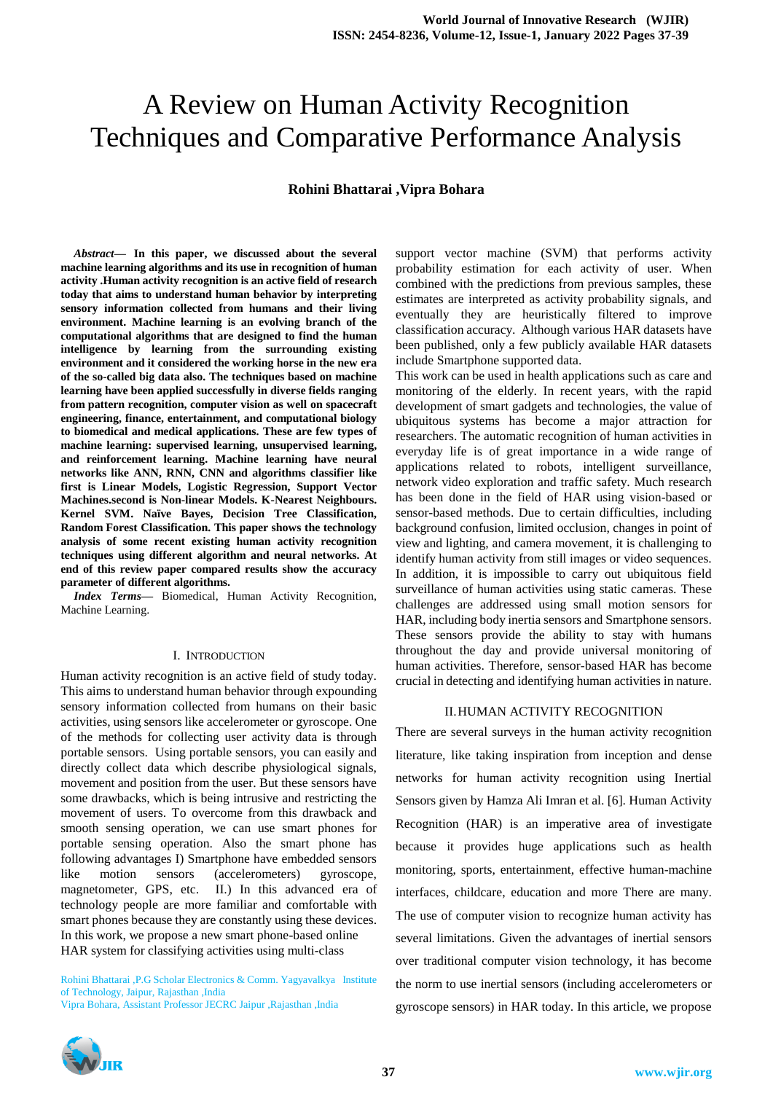# A Review on Human Activity Recognition Techniques and Comparative Performance Analysis

## **Rohini Bhattarai ,Vipra Bohara**

*Abstract***— In this paper, we discussed about the several machine learning algorithms and its use in recognition of human activity .Human activity recognition is an active field of research today that aims to understand human behavior by interpreting sensory information collected from humans and their living environment. Machine learning is an evolving branch of the computational algorithms that are designed to find the human intelligence by learning from the surrounding existing environment and it considered the working horse in the new era of the so-called big data also. The techniques based on machine learning have been applied successfully in diverse fields ranging from pattern recognition, computer vision as well on spacecraft engineering, finance, entertainment, and computational biology to biomedical and medical applications. These are few types of machine learning: supervised learning, unsupervised learning, and reinforcement learning. Machine learning have neural networks like ANN, RNN, CNN and algorithms classifier like first is Linear Models, Logistic Regression, Support Vector Machines.second is Non-linear Models. K-Nearest Neighbours. Kernel SVM. Naïve Bayes, Decision Tree Classification, Random Forest Classification. This paper shows the technology analysis of some recent existing human activity recognition techniques using different algorithm and neural networks. At end of this review paper compared results show the accuracy parameter of different algorithms.**

*Index Terms***—** Biomedical, Human Activity Recognition, Machine Learning.

#### I. INTRODUCTION

Human activity recognition is an active field of study today. This aims to understand human behavior through expounding sensory information collected from humans on their basic activities, using sensors like accelerometer or gyroscope. One of the methods for collecting user activity data is through portable sensors. Using portable sensors, you can easily and directly collect data which describe physiological signals, movement and position from the user. But these sensors have some drawbacks, which is being intrusive and restricting the movement of users. To overcome from this drawback and smooth sensing operation, we can use smart phones for portable sensing operation. Also the smart phone has following advantages I) Smartphone have embedded sensors like motion sensors (accelerometers) gyroscope, magnetometer, GPS, etc. II.) In this advanced era of technology people are more familiar and comfortable with smart phones because they are constantly using these devices. In this work, we propose a new smart phone-based online HAR system for classifying activities using multi-class

Rohini Bhattarai ,P.G Scholar Electronics & Comm. Yagyavalkya Institute of Technology, Jaipur, Rajasthan ,India

Vipra Bohara, Assistant Professor JECRC Jaipur ,Rajasthan ,India

support vector machine (SVM) that performs activity probability estimation for each activity of user. When combined with the predictions from previous samples, these estimates are interpreted as activity probability signals, and eventually they are heuristically filtered to improve classification accuracy. Although various HAR datasets have been published, only a few publicly available HAR datasets include Smartphone supported data.

This work can be used in health applications such as care and monitoring of the elderly. In recent years, with the rapid development of smart gadgets and technologies, the value of ubiquitous systems has become a major attraction for researchers. The automatic recognition of human activities in everyday life is of great importance in a wide range of applications related to robots, intelligent surveillance, network video exploration and traffic safety. Much research has been done in the field of HAR using vision-based or sensor-based methods. Due to certain difficulties, including background confusion, limited occlusion, changes in point of view and lighting, and camera movement, it is challenging to identify human activity from still images or video sequences. In addition, it is impossible to carry out ubiquitous field surveillance of human activities using static cameras. These challenges are addressed using small motion sensors for HAR, including body inertia sensors and Smartphone sensors. These sensors provide the ability to stay with humans throughout the day and provide universal monitoring of human activities. Therefore, sensor-based HAR has become crucial in detecting and identifying human activities in nature.

## II.HUMAN ACTIVITY RECOGNITION

There are several surveys in the human activity recognition literature, like taking inspiration from inception and dense networks for human activity recognition using Inertial Sensors given by Hamza Ali Imran et al. [6]. Human Activity Recognition (HAR) is an imperative area of investigate because it provides huge applications such as health monitoring, sports, entertainment, effective human-machine interfaces, childcare, education and more There are many. The use of computer vision to recognize human activity has several limitations. Given the advantages of inertial sensors over traditional computer vision technology, it has become the norm to use inertial sensors (including accelerometers or gyroscope sensors) in HAR today. In this article, we propose

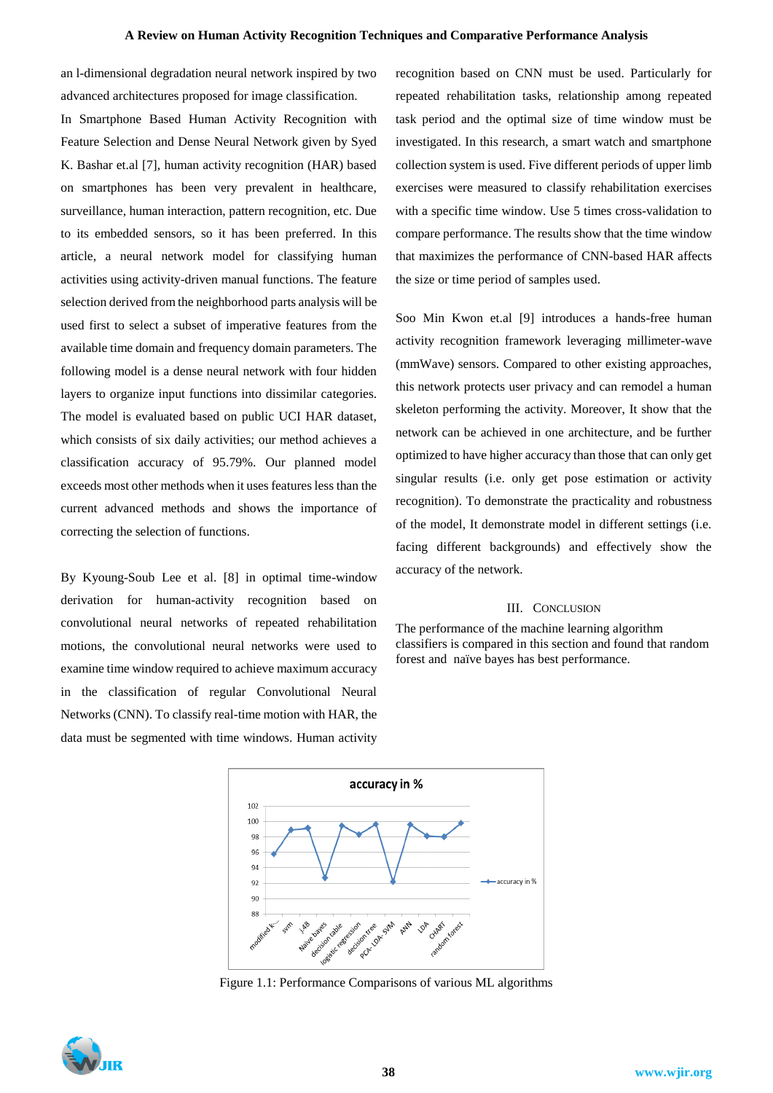an l-dimensional degradation neural network inspired by two advanced architectures proposed for image classification.

In Smartphone Based Human Activity Recognition with Feature Selection and Dense Neural Network given by Syed K. Bashar et.al [7], human activity recognition (HAR) based on smartphones has been very prevalent in healthcare, surveillance, human interaction, pattern recognition, etc. Due to its embedded sensors, so it has been preferred. In this article, a neural network model for classifying human activities using activity-driven manual functions. The feature selection derived from the neighborhood parts analysis will be used first to select a subset of imperative features from the available time domain and frequency domain parameters. The following model is a dense neural network with four hidden layers to organize input functions into dissimilar categories. The model is evaluated based on public UCI HAR dataset, which consists of six daily activities; our method achieves a classification accuracy of 95.79%. Our planned model exceeds most other methods when it uses features less than the current advanced methods and shows the importance of correcting the selection of functions.

By Kyoung-Soub Lee et al. [8] in optimal time-window derivation for human-activity recognition based on convolutional neural networks of repeated rehabilitation motions, the convolutional neural networks were used to examine time window required to achieve maximum accuracy in the classification of regular Convolutional Neural Networks (CNN). To classify real-time motion with HAR, the data must be segmented with time windows. Human activity recognition based on CNN must be used. Particularly for repeated rehabilitation tasks, relationship among repeated task period and the optimal size of time window must be investigated. In this research, a smart watch and smartphone collection system is used. Five different periods of upper limb exercises were measured to classify rehabilitation exercises with a specific time window. Use 5 times cross-validation to compare performance. The results show that the time window that maximizes the performance of CNN-based HAR affects the size or time period of samples used.

Soo Min Kwon et.al [9] introduces a hands-free human activity recognition framework leveraging millimeter-wave (mmWave) sensors. Compared to other existing approaches, this network protects user privacy and can remodel a human skeleton performing the activity. Moreover, It show that the network can be achieved in one architecture, and be further optimized to have higher accuracy than those that can only get singular results (i.e. only get pose estimation or activity recognition). To demonstrate the practicality and robustness of the model, It demonstrate model in different settings (i.e. facing different backgrounds) and effectively show the accuracy of the network.

### III. CONCLUSION

The performance of the machine learning algorithm classifiers is compared in this section and found that random forest and naïve bayes has best performance.



Figure 1.1: Performance Comparisons of various ML algorithms